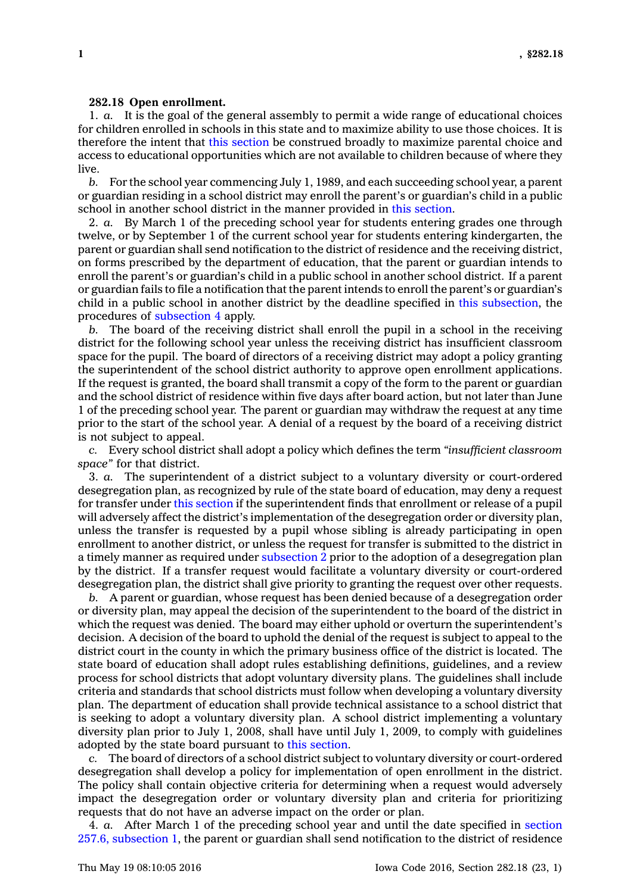## **282.18 Open enrollment.**

1. *a.* It is the goal of the general assembly to permit <sup>a</sup> wide range of educational choices for children enrolled in schools in this state and to maximize ability to use those choices. It is therefore the intent that this [section](https://www.legis.iowa.gov/docs/code//282.18.pdf) be construed broadly to maximize parental choice and access to educational opportunities which are not available to children because of where they live.

*b.* For the school year commencing July 1, 1989, and each succeeding school year, <sup>a</sup> parent or guardian residing in <sup>a</sup> school district may enroll the parent's or guardian's child in <sup>a</sup> public school in another school district in the manner provided in this [section](https://www.legis.iowa.gov/docs/code//282.18.pdf).

2. *a.* By March 1 of the preceding school year for students entering grades one through twelve, or by September 1 of the current school year for students entering kindergarten, the parent or guardian shall send notification to the district of residence and the receiving district, on forms prescribed by the department of education, that the parent or guardian intends to enroll the parent's or guardian's child in <sup>a</sup> public school in another school district. If <sup>a</sup> parent or guardian fails to file <sup>a</sup> notification that the parent intends to enroll the parent's or guardian's child in <sup>a</sup> public school in another district by the deadline specified in this [subsection](https://www.legis.iowa.gov/docs/code//282.18.pdf), the procedures of [subsection](https://www.legis.iowa.gov/docs/code//282.18.pdf) 4 apply.

*b.* The board of the receiving district shall enroll the pupil in <sup>a</sup> school in the receiving district for the following school year unless the receiving district has insufficient classroom space for the pupil. The board of directors of <sup>a</sup> receiving district may adopt <sup>a</sup> policy granting the superintendent of the school district authority to approve open enrollment applications. If the request is granted, the board shall transmit <sup>a</sup> copy of the form to the parent or guardian and the school district of residence within five days after board action, but not later than June 1 of the preceding school year. The parent or guardian may withdraw the request at any time prior to the start of the school year. A denial of <sup>a</sup> request by the board of <sup>a</sup> receiving district is not subject to appeal.

*c.* Every school district shall adopt <sup>a</sup> policy which defines the term *"insufficient classroom space"* for that district.

3. *a.* The superintendent of <sup>a</sup> district subject to <sup>a</sup> voluntary diversity or court-ordered desegregation plan, as recognized by rule of the state board of education, may deny <sup>a</sup> request for transfer under this [section](https://www.legis.iowa.gov/docs/code//282.18.pdf) if the superintendent finds that enrollment or release of <sup>a</sup> pupil will adversely affect the district's implementation of the desegregation order or diversity plan, unless the transfer is requested by <sup>a</sup> pupil whose sibling is already participating in open enrollment to another district, or unless the request for transfer is submitted to the district in <sup>a</sup> timely manner as required under [subsection](https://www.legis.iowa.gov/docs/code//282.18.pdf) 2 prior to the adoption of <sup>a</sup> desegregation plan by the district. If <sup>a</sup> transfer request would facilitate <sup>a</sup> voluntary diversity or court-ordered desegregation plan, the district shall give priority to granting the request over other requests.

*b.* A parent or guardian, whose request has been denied because of <sup>a</sup> desegregation order or diversity plan, may appeal the decision of the superintendent to the board of the district in which the request was denied. The board may either uphold or overturn the superintendent's decision. A decision of the board to uphold the denial of the request is subject to appeal to the district court in the county in which the primary business office of the district is located. The state board of education shall adopt rules establishing definitions, guidelines, and <sup>a</sup> review process for school districts that adopt voluntary diversity plans. The guidelines shall include criteria and standards that school districts must follow when developing <sup>a</sup> voluntary diversity plan. The department of education shall provide technical assistance to <sup>a</sup> school district that is seeking to adopt <sup>a</sup> voluntary diversity plan. A school district implementing <sup>a</sup> voluntary diversity plan prior to July 1, 2008, shall have until July 1, 2009, to comply with guidelines adopted by the state board pursuant to this [section](https://www.legis.iowa.gov/docs/code//282.18.pdf).

*c.* The board of directors of <sup>a</sup> school district subject to voluntary diversity or court-ordered desegregation shall develop <sup>a</sup> policy for implementation of open enrollment in the district. The policy shall contain objective criteria for determining when <sup>a</sup> request would adversely impact the desegregation order or voluntary diversity plan and criteria for prioritizing requests that do not have an adverse impact on the order or plan.

4. *a.* After March 1 of the preceding school year and until the date specified in [section](https://www.legis.iowa.gov/docs/code//257.6.pdf) 257.6, [subsection](https://www.legis.iowa.gov/docs/code//257.6.pdf) 1, the parent or guardian shall send notification to the district of residence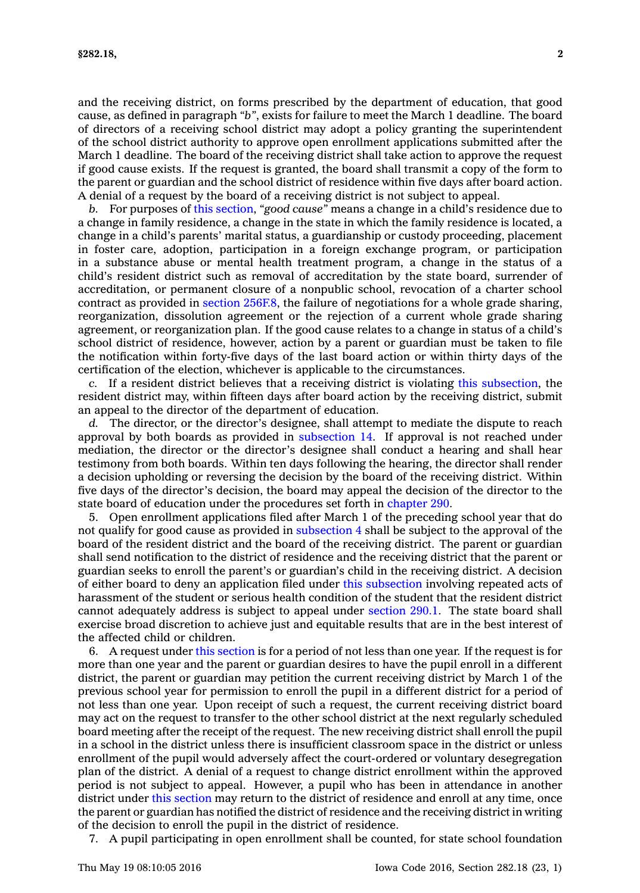and the receiving district, on forms prescribed by the department of education, that good cause, as defined in paragraph *"b"*, exists for failure to meet the March 1 deadline. The board of directors of <sup>a</sup> receiving school district may adopt <sup>a</sup> policy granting the superintendent of the school district authority to approve open enrollment applications submitted after the March 1 deadline. The board of the receiving district shall take action to approve the request if good cause exists. If the request is granted, the board shall transmit <sup>a</sup> copy of the form to the parent or guardian and the school district of residence within five days after board action. A denial of <sup>a</sup> request by the board of <sup>a</sup> receiving district is not subject to appeal.

*b.* For purposes of this [section](https://www.legis.iowa.gov/docs/code//282.18.pdf), *"good cause"* means <sup>a</sup> change in <sup>a</sup> child's residence due to <sup>a</sup> change in family residence, <sup>a</sup> change in the state in which the family residence is located, <sup>a</sup> change in <sup>a</sup> child's parents' marital status, <sup>a</sup> guardianship or custody proceeding, placement in foster care, adoption, participation in <sup>a</sup> foreign exchange program, or participation in <sup>a</sup> substance abuse or mental health treatment program, <sup>a</sup> change in the status of <sup>a</sup> child's resident district such as removal of accreditation by the state board, surrender of accreditation, or permanent closure of <sup>a</sup> nonpublic school, revocation of <sup>a</sup> charter school contract as provided in section  $256F.8$ , the failure of negotiations for a whole grade sharing, reorganization, dissolution agreement or the rejection of <sup>a</sup> current whole grade sharing agreement, or reorganization plan. If the good cause relates to <sup>a</sup> change in status of <sup>a</sup> child's school district of residence, however, action by <sup>a</sup> parent or guardian must be taken to file the notification within forty-five days of the last board action or within thirty days of the certification of the election, whichever is applicable to the circumstances.

*c.* If <sup>a</sup> resident district believes that <sup>a</sup> receiving district is violating this [subsection](https://www.legis.iowa.gov/docs/code//282.18.pdf), the resident district may, within fifteen days after board action by the receiving district, submit an appeal to the director of the department of education.

*d.* The director, or the director's designee, shall attempt to mediate the dispute to reach approval by both boards as provided in [subsection](https://www.legis.iowa.gov/docs/code//282.18.pdf) 14. If approval is not reached under mediation, the director or the director's designee shall conduct <sup>a</sup> hearing and shall hear testimony from both boards. Within ten days following the hearing, the director shall render <sup>a</sup> decision upholding or reversing the decision by the board of the receiving district. Within five days of the director's decision, the board may appeal the decision of the director to the state board of education under the procedures set forth in [chapter](https://www.legis.iowa.gov/docs/code//290.pdf) 290.

5. Open enrollment applications filed after March 1 of the preceding school year that do not qualify for good cause as provided in [subsection](https://www.legis.iowa.gov/docs/code//282.18.pdf) 4 shall be subject to the approval of the board of the resident district and the board of the receiving district. The parent or guardian shall send notification to the district of residence and the receiving district that the parent or guardian seeks to enroll the parent's or guardian's child in the receiving district. A decision of either board to deny an application filed under this [subsection](https://www.legis.iowa.gov/docs/code//282.18.pdf) involving repeated acts of harassment of the student or serious health condition of the student that the resident district cannot adequately address is subject to appeal under [section](https://www.legis.iowa.gov/docs/code//290.1.pdf) 290.1. The state board shall exercise broad discretion to achieve just and equitable results that are in the best interest of the affected child or children.

6. A request under this [section](https://www.legis.iowa.gov/docs/code//282.18.pdf) is for <sup>a</sup> period of not less than one year. If the request is for more than one year and the parent or guardian desires to have the pupil enroll in <sup>a</sup> different district, the parent or guardian may petition the current receiving district by March 1 of the previous school year for permission to enroll the pupil in <sup>a</sup> different district for <sup>a</sup> period of not less than one year. Upon receipt of such <sup>a</sup> request, the current receiving district board may act on the request to transfer to the other school district at the next regularly scheduled board meeting after the receipt of the request. The new receiving district shall enroll the pupil in <sup>a</sup> school in the district unless there is insufficient classroom space in the district or unless enrollment of the pupil would adversely affect the court-ordered or voluntary desegregation plan of the district. A denial of <sup>a</sup> request to change district enrollment within the approved period is not subject to appeal. However, <sup>a</sup> pupil who has been in attendance in another district under this [section](https://www.legis.iowa.gov/docs/code//282.18.pdf) may return to the district of residence and enroll at any time, once the parent or guardian has notified the district of residence and the receiving district in writing of the decision to enroll the pupil in the district of residence.

7. A pupil participating in open enrollment shall be counted, for state school foundation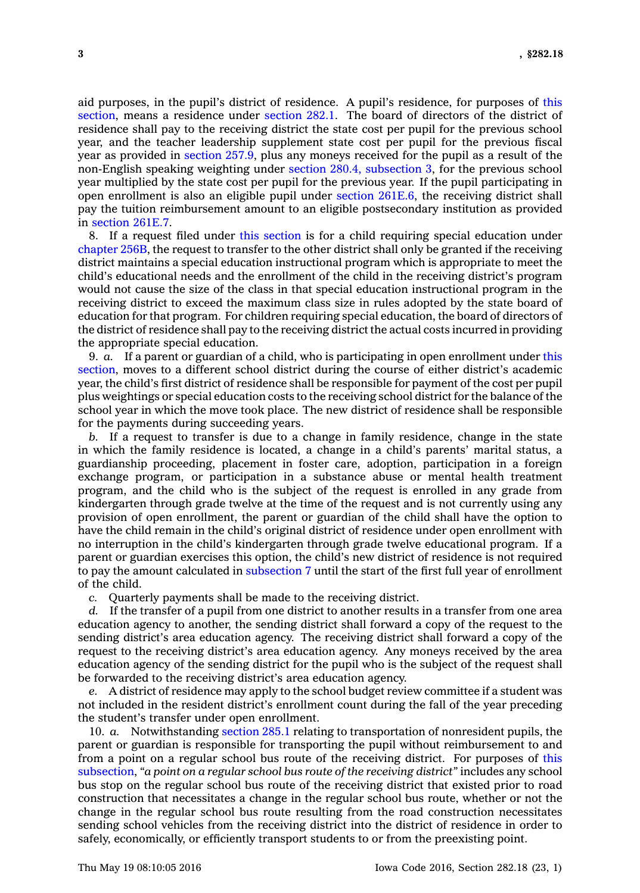aid purposes, in the pupil's district of residence. A pupil's residence, for purposes of [this](https://www.legis.iowa.gov/docs/code//282.18.pdf) [section](https://www.legis.iowa.gov/docs/code//282.18.pdf), means <sup>a</sup> residence under [section](https://www.legis.iowa.gov/docs/code//282.1.pdf) 282.1. The board of directors of the district of residence shall pay to the receiving district the state cost per pupil for the previous school year, and the teacher leadership supplement state cost per pupil for the previous fiscal year as provided in [section](https://www.legis.iowa.gov/docs/code//257.9.pdf) 257.9, plus any moneys received for the pupil as <sup>a</sup> result of the non-English speaking weighting under section 280.4, [subsection](https://www.legis.iowa.gov/docs/code//280.4.pdf) 3, for the previous school year multiplied by the state cost per pupil for the previous year. If the pupil participating in open enrollment is also an eligible pupil under section [261E.6](https://www.legis.iowa.gov/docs/code//261E.6.pdf), the receiving district shall pay the tuition reimbursement amount to an eligible postsecondary institution as provided in [section](https://www.legis.iowa.gov/docs/code//261E.7.pdf) 261E.7.

8. If <sup>a</sup> request filed under this [section](https://www.legis.iowa.gov/docs/code//282.18.pdf) is for <sup>a</sup> child requiring special education under [chapter](https://www.legis.iowa.gov/docs/code//256B.pdf) 256B, the request to transfer to the other district shall only be granted if the receiving district maintains <sup>a</sup> special education instructional program which is appropriate to meet the child's educational needs and the enrollment of the child in the receiving district's program would not cause the size of the class in that special education instructional program in the receiving district to exceed the maximum class size in rules adopted by the state board of education for that program. For children requiring special education, the board of directors of the district of residence shall pay to the receiving district the actual costs incurred in providing the appropriate special education.

9. *a.* If <sup>a</sup> parent or guardian of <sup>a</sup> child, who is participating in open enrollment under [this](https://www.legis.iowa.gov/docs/code//282.18.pdf) [section](https://www.legis.iowa.gov/docs/code//282.18.pdf), moves to <sup>a</sup> different school district during the course of either district's academic year, the child's first district of residence shall be responsible for payment of the cost per pupil plus weightings or special education costs to the receiving school district for the balance of the school year in which the move took place. The new district of residence shall be responsible for the payments during succeeding years.

*b.* If <sup>a</sup> request to transfer is due to <sup>a</sup> change in family residence, change in the state in which the family residence is located, <sup>a</sup> change in <sup>a</sup> child's parents' marital status, <sup>a</sup> guardianship proceeding, placement in foster care, adoption, participation in <sup>a</sup> foreign exchange program, or participation in <sup>a</sup> substance abuse or mental health treatment program, and the child who is the subject of the request is enrolled in any grade from kindergarten through grade twelve at the time of the request and is not currently using any provision of open enrollment, the parent or guardian of the child shall have the option to have the child remain in the child's original district of residence under open enrollment with no interruption in the child's kindergarten through grade twelve educational program. If <sup>a</sup> parent or guardian exercises this option, the child's new district of residence is not required to pay the amount calculated in [subsection](https://www.legis.iowa.gov/docs/code//282.18.pdf) 7 until the start of the first full year of enrollment of the child.

*c.* Quarterly payments shall be made to the receiving district.

*d.* If the transfer of <sup>a</sup> pupil from one district to another results in <sup>a</sup> transfer from one area education agency to another, the sending district shall forward <sup>a</sup> copy of the request to the sending district's area education agency. The receiving district shall forward <sup>a</sup> copy of the request to the receiving district's area education agency. Any moneys received by the area education agency of the sending district for the pupil who is the subject of the request shall be forwarded to the receiving district's area education agency.

*e.* A district of residence may apply to the school budget review committee if <sup>a</sup> student was not included in the resident district's enrollment count during the fall of the year preceding the student's transfer under open enrollment.

10. *a.* Notwithstanding [section](https://www.legis.iowa.gov/docs/code//285.1.pdf) 285.1 relating to transportation of nonresident pupils, the parent or guardian is responsible for transporting the pupil without reimbursement to and from <sup>a</sup> point on <sup>a</sup> regular school bus route of the receiving district. For purposes of [this](https://www.legis.iowa.gov/docs/code//282.18.pdf) [subsection](https://www.legis.iowa.gov/docs/code//282.18.pdf), *"a point on <sup>a</sup> regular school bus route of the receiving district"* includes any school bus stop on the regular school bus route of the receiving district that existed prior to road construction that necessitates <sup>a</sup> change in the regular school bus route, whether or not the change in the regular school bus route resulting from the road construction necessitates sending school vehicles from the receiving district into the district of residence in order to safely, economically, or efficiently transport students to or from the preexisting point.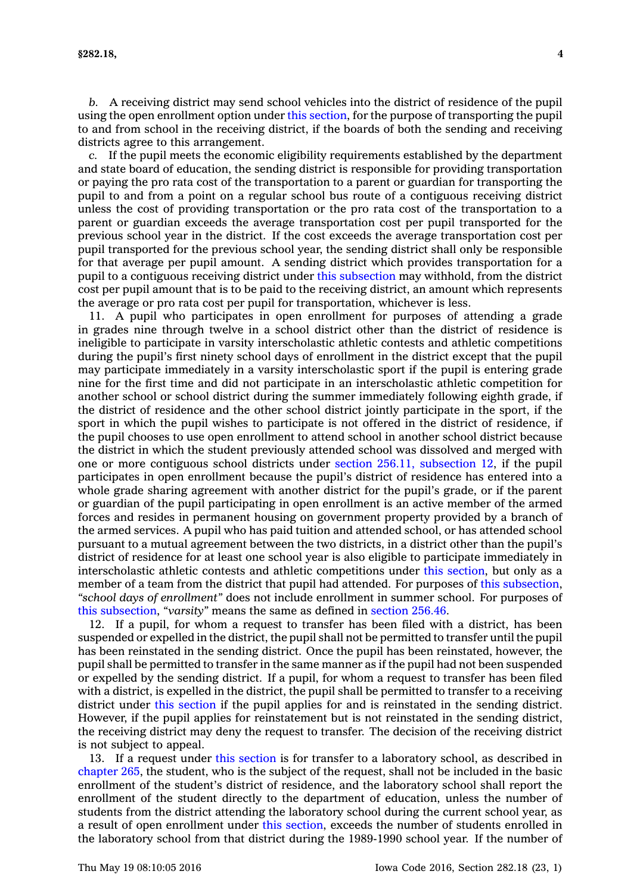*b.* A receiving district may send school vehicles into the district of residence of the pupil using the open enrollment option under this [section](https://www.legis.iowa.gov/docs/code//282.18.pdf), for the purpose of transporting the pupil to and from school in the receiving district, if the boards of both the sending and receiving districts agree to this arrangement.

*c.* If the pupil meets the economic eligibility requirements established by the department and state board of education, the sending district is responsible for providing transportation or paying the pro rata cost of the transportation to <sup>a</sup> parent or guardian for transporting the pupil to and from <sup>a</sup> point on <sup>a</sup> regular school bus route of <sup>a</sup> contiguous receiving district unless the cost of providing transportation or the pro rata cost of the transportation to <sup>a</sup> parent or guardian exceeds the average transportation cost per pupil transported for the previous school year in the district. If the cost exceeds the average transportation cost per pupil transported for the previous school year, the sending district shall only be responsible for that average per pupil amount. A sending district which provides transportation for <sup>a</sup> pupil to <sup>a</sup> contiguous receiving district under this [subsection](https://www.legis.iowa.gov/docs/code//282.18.pdf) may withhold, from the district cost per pupil amount that is to be paid to the receiving district, an amount which represents the average or pro rata cost per pupil for transportation, whichever is less.

11. A pupil who participates in open enrollment for purposes of attending <sup>a</sup> grade in grades nine through twelve in <sup>a</sup> school district other than the district of residence is ineligible to participate in varsity interscholastic athletic contests and athletic competitions during the pupil's first ninety school days of enrollment in the district except that the pupil may participate immediately in <sup>a</sup> varsity interscholastic sport if the pupil is entering grade nine for the first time and did not participate in an interscholastic athletic competition for another school or school district during the summer immediately following eighth grade, if the district of residence and the other school district jointly participate in the sport, if the sport in which the pupil wishes to participate is not offered in the district of residence, if the pupil chooses to use open enrollment to attend school in another school district because the district in which the student previously attended school was dissolved and merged with one or more contiguous school districts under section 256.11, [subsection](https://www.legis.iowa.gov/docs/code//256.11.pdf) 12, if the pupil participates in open enrollment because the pupil's district of residence has entered into <sup>a</sup> whole grade sharing agreement with another district for the pupil's grade, or if the parent or guardian of the pupil participating in open enrollment is an active member of the armed forces and resides in permanent housing on government property provided by <sup>a</sup> branch of the armed services. A pupil who has paid tuition and attended school, or has attended school pursuant to <sup>a</sup> mutual agreement between the two districts, in <sup>a</sup> district other than the pupil's district of residence for at least one school year is also eligible to participate immediately in interscholastic athletic contests and athletic competitions under this [section](https://www.legis.iowa.gov/docs/code//282.18.pdf), but only as <sup>a</sup> member of <sup>a</sup> team from the district that pupil had attended. For purposes of this [subsection](https://www.legis.iowa.gov/docs/code//282.18.pdf), *"school days of enrollment"* does not include enrollment in summer school. For purposes of this [subsection](https://www.legis.iowa.gov/docs/code//282.18.pdf), *"varsity"* means the same as defined in [section](https://www.legis.iowa.gov/docs/code//256.46.pdf) 256.46.

12. If <sup>a</sup> pupil, for whom <sup>a</sup> request to transfer has been filed with <sup>a</sup> district, has been suspended or expelled in the district, the pupil shall not be permitted to transfer until the pupil has been reinstated in the sending district. Once the pupil has been reinstated, however, the pupil shall be permitted to transfer in the same manner as if the pupil had not been suspended or expelled by the sending district. If <sup>a</sup> pupil, for whom <sup>a</sup> request to transfer has been filed with <sup>a</sup> district, is expelled in the district, the pupil shall be permitted to transfer to <sup>a</sup> receiving district under this [section](https://www.legis.iowa.gov/docs/code//282.18.pdf) if the pupil applies for and is reinstated in the sending district. However, if the pupil applies for reinstatement but is not reinstated in the sending district, the receiving district may deny the request to transfer. The decision of the receiving district is not subject to appeal.

13. If <sup>a</sup> request under this [section](https://www.legis.iowa.gov/docs/code//282.18.pdf) is for transfer to <sup>a</sup> laboratory school, as described in [chapter](https://www.legis.iowa.gov/docs/code//265.pdf) 265, the student, who is the subject of the request, shall not be included in the basic enrollment of the student's district of residence, and the laboratory school shall report the enrollment of the student directly to the department of education, unless the number of students from the district attending the laboratory school during the current school year, as <sup>a</sup> result of open enrollment under this [section](https://www.legis.iowa.gov/docs/code//282.18.pdf), exceeds the number of students enrolled in the laboratory school from that district during the 1989-1990 school year. If the number of